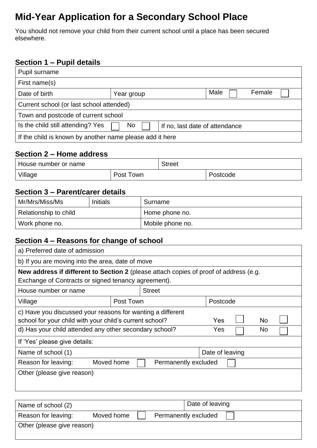# **Mid-Year Application for a Secondary School Place**

You should not remove your child from their current school until a place has been secured elsewhere.

### **Section 1 – Pupil details**

| Pupil surname                                                             |                              |  |  |  |  |
|---------------------------------------------------------------------------|------------------------------|--|--|--|--|
| First name(s)                                                             |                              |  |  |  |  |
| Date of birth                                                             | Male<br>Female<br>Year group |  |  |  |  |
| Current school (or last school attended)                                  |                              |  |  |  |  |
| Town and postcode of current school                                       |                              |  |  |  |  |
| Is the child still attending? Yes<br>No<br>If no, last date of attendance |                              |  |  |  |  |
| If the child is known by another name please add it here                  |                              |  |  |  |  |

#### **Section 2 – Home address**

| House number or name |           | <b>Street</b> |          |  |
|----------------------|-----------|---------------|----------|--|
| Village              | Post Town |               | Postcode |  |

### **Section 3 – Parent/carer details**

| Mr/Mrs/Miss/Ms<br><b>Initials</b> |  | Surname          |
|-----------------------------------|--|------------------|
| Relationship to child             |  | Home phone no.   |
| Work phone no.                    |  | Mobile phone no. |

### **Section 4 – Reasons for change of school**

| a) Preferred date of admission                                                                                                            |                                                                                       |               |                 |          |  |  |  |
|-------------------------------------------------------------------------------------------------------------------------------------------|---------------------------------------------------------------------------------------|---------------|-----------------|----------|--|--|--|
| b) If you are moving into the area, date of move                                                                                          |                                                                                       |               |                 |          |  |  |  |
|                                                                                                                                           | New address if different to Section 2 (please attach copies of proof of address (e.g. |               |                 |          |  |  |  |
| Exchange of Contracts or signed tenancy agreement).                                                                                       |                                                                                       |               |                 |          |  |  |  |
| House number or name                                                                                                                      |                                                                                       | <b>Street</b> |                 |          |  |  |  |
| Village                                                                                                                                   | Post Town                                                                             |               |                 | Postcode |  |  |  |
| c) Have you discussed your reasons for wanting a different<br><b>No</b><br>school for your child with your child's current school?<br>Yes |                                                                                       |               |                 |          |  |  |  |
| d) Has your child attended any other secondary school?<br>No.<br>Yes                                                                      |                                                                                       |               |                 |          |  |  |  |
| If 'Yes' please give details:                                                                                                             |                                                                                       |               |                 |          |  |  |  |
| Name of school (1)                                                                                                                        |                                                                                       |               | Date of leaving |          |  |  |  |
| Moved home<br>Reason for leaving:<br>Permanently excluded                                                                                 |                                                                                       |               |                 |          |  |  |  |
| Other (please give reason)                                                                                                                |                                                                                       |               |                 |          |  |  |  |

| Name of school (2)         |            |  | Date of leaving      |  |
|----------------------------|------------|--|----------------------|--|
| Reason for leaving:        | Moved home |  | Permanently excluded |  |
| Other (please give reason) |            |  |                      |  |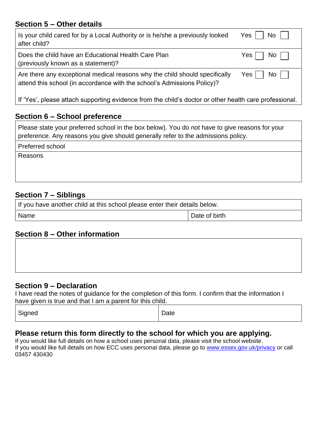### **Section 5 – Other details**

| Is your child cared for by a Local Authority or is he/she a previously looked                          | $No$ $\vert$ $\vert$ |
|--------------------------------------------------------------------------------------------------------|----------------------|
| after child?                                                                                           | Yes                  |
| Does the child have an Educational Health Care Plan                                                    | No                   |
| (previously known as a statement)?                                                                     | Yes                  |
| Are there any exceptional medical reasons why the child should specifically                            | $No$                 |
| attend this school (in accordance with the school's Admissions Policy)?                                | Yes                  |
| If 'Yes', please attach supporting evidence from the child's doctor or other health care professional. |                      |

### **Section 6 – School preference**

| Please state your preferred school in the box below). You do not have to give reasons for your |  |
|------------------------------------------------------------------------------------------------|--|
| preference. Any reasons you give should generally refer to the admissions policy.              |  |

Preferred school

Reasons

### **Section 7 – Siblings**

| If you have another child at this school please enter their details below. |               |  |
|----------------------------------------------------------------------------|---------------|--|
| Name                                                                       | Date of birth |  |

### **Section 8 – Other information**

### **Section 9 – Declaration**

I have read the notes of guidance for the completion of this form. I confirm that the information I have given is true and that I am a parent for this child.

| Signed | Date |
|--------|------|
|--------|------|

### **Please return this form directly to the school for which you are applying.**

If you would like full details on how a school uses personal data, please visit the school website. If you would like full details on how ECC uses personal data, please go to [www.essex.gov.uk/privacy](http://www.essex.gov.uk/privacy) or call 03457 430430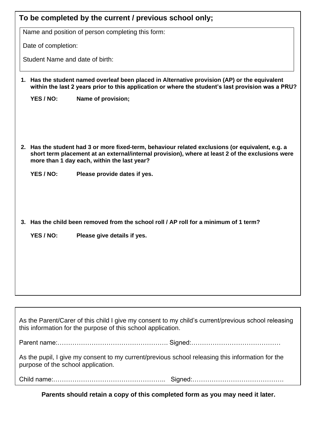|                                    | To be completed by the current / previous school only;                                                                                                                                                                                              |
|------------------------------------|-----------------------------------------------------------------------------------------------------------------------------------------------------------------------------------------------------------------------------------------------------|
|                                    | Name and position of person completing this form:                                                                                                                                                                                                   |
| Date of completion:                |                                                                                                                                                                                                                                                     |
| Student Name and date of birth:    |                                                                                                                                                                                                                                                     |
|                                    |                                                                                                                                                                                                                                                     |
|                                    | 1. Has the student named overleaf been placed in Alternative provision (AP) or the equivalent<br>within the last 2 years prior to this application or where the student's last provision was a PRU?                                                 |
| YES / NO:                          | Name of provision;                                                                                                                                                                                                                                  |
|                                    |                                                                                                                                                                                                                                                     |
|                                    | 2. Has the student had 3 or more fixed-term, behaviour related exclusions (or equivalent, e.g. a<br>short term placement at an external/internal provision), where at least 2 of the exclusions were<br>more than 1 day each, within the last year? |
| YES / NO:                          | Please provide dates if yes.                                                                                                                                                                                                                        |
|                                    | 3. Has the child been removed from the school roll / AP roll for a minimum of 1 term?                                                                                                                                                               |
| YES / NO:                          | Please give details if yes.                                                                                                                                                                                                                         |
|                                    |                                                                                                                                                                                                                                                     |
|                                    |                                                                                                                                                                                                                                                     |
|                                    | As the Parent/Carer of this child I give my consent to my child's current/previous school releasing<br>this information for the purpose of this school application.                                                                                 |
|                                    |                                                                                                                                                                                                                                                     |
| purpose of the school application. | As the pupil, I give my consent to my current/previous school releasing this information for the                                                                                                                                                    |

Child name:…………………………………………….. Signed:…………………………………….

**Parents should retain a copy of this completed form as you may need it later.**